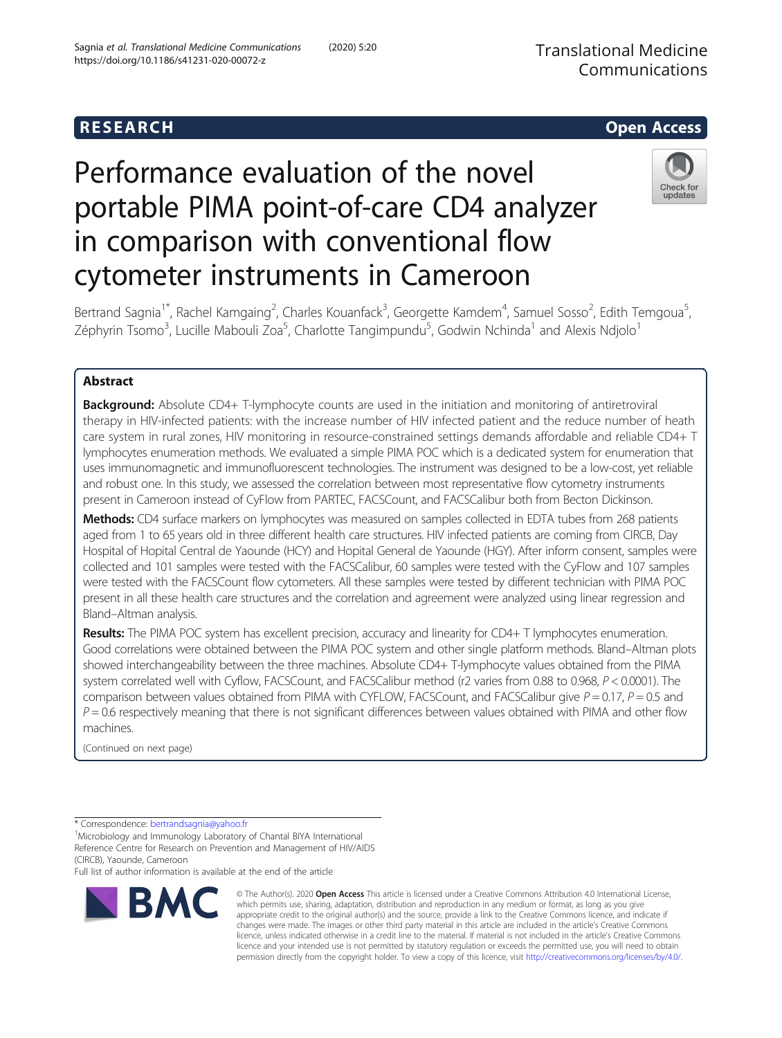Translational Medicine Communications

# R E S EAR CH Open Access

# Performance evaluation of the novel portable PIMA point-of-care CD4 analyzer in comparison with conventional flow cytometer instruments in Cameroon



Bertrand Sagnia<sup>1\*</sup>, Rachel Kamgaing<sup>2</sup>, Charles Kouanfack<sup>3</sup>, Georgette Kamdem<sup>4</sup>, Samuel Sosso<sup>2</sup>, Edith Temgoua<sup>5</sup> , Zéphyrin Tsomo<sup>3</sup>, Lucille Mabouli Zoa<sup>5</sup>, Charlotte Tangimpundu<sup>5</sup>, Godwin Nchinda<sup>1</sup> and Alexis Ndjolo<sup>1</sup>

## Abstract

**Background:** Absolute CD4+ T-lymphocyte counts are used in the initiation and monitoring of antiretroviral therapy in HIV-infected patients: with the increase number of HIV infected patient and the reduce number of heath care system in rural zones, HIV monitoring in resource-constrained settings demands affordable and reliable CD4+ T lymphocytes enumeration methods. We evaluated a simple PIMA POC which is a dedicated system for enumeration that uses immunomagnetic and immunofluorescent technologies. The instrument was designed to be a low-cost, yet reliable and robust one. In this study, we assessed the correlation between most representative flow cytometry instruments present in Cameroon instead of CyFlow from PARTEC, FACSCount, and FACSCalibur both from Becton Dickinson.

Methods: CD4 surface markers on lymphocytes was measured on samples collected in EDTA tubes from 268 patients aged from 1 to 65 years old in three different health care structures. HIV infected patients are coming from CIRCB, Day Hospital of Hopital Central de Yaounde (HCY) and Hopital General de Yaounde (HGY). After inform consent, samples were collected and 101 samples were tested with the FACSCalibur, 60 samples were tested with the CyFlow and 107 samples were tested with the FACSCount flow cytometers. All these samples were tested by different technician with PIMA POC present in all these health care structures and the correlation and agreement were analyzed using linear regression and Bland–Altman analysis.

Results: The PIMA POC system has excellent precision, accuracy and linearity for CD4+ T lymphocytes enumeration. Good correlations were obtained between the PIMA POC system and other single platform methods. Bland–Altman plots showed interchangeability between the three machines. Absolute CD4+ T-lymphocyte values obtained from the PIMA system correlated well with Cyflow, FACSCount, and FACSCalibur method (r2 varies from 0.88 to 0.968, P < 0.0001). The comparison between values obtained from PIMA with CYFLOW, FACSCount, and FACSCalibur give  $P = 0.17$ ,  $P = 0.5$  and  $P = 0.6$  respectively meaning that there is not significant differences between values obtained with PIMA and other flow machines.

(Continued on next page)

\* Correspondence: [bertrandsagnia@yahoo.fr](mailto:bertrandsagnia@yahoo.fr) <sup>1</sup>

<sup>1</sup>Microbiology and Immunology Laboratory of Chantal BIYA International Reference Centre for Research on Prevention and Management of HIV/AIDS (CIRCB), Yaounde, Cameroon

Full list of author information is available at the end of the article



© The Author(s). 2020 Open Access This article is licensed under a Creative Commons Attribution 4.0 International License, which permits use, sharing, adaptation, distribution and reproduction in any medium or format, as long as you give appropriate credit to the original author(s) and the source, provide a link to the Creative Commons licence, and indicate if changes were made. The images or other third party material in this article are included in the article's Creative Commons licence, unless indicated otherwise in a credit line to the material. If material is not included in the article's Creative Commons licence and your intended use is not permitted by statutory regulation or exceeds the permitted use, you will need to obtain permission directly from the copyright holder. To view a copy of this licence, visit [http://creativecommons.org/licenses/by/4.0/.](http://creativecommons.org/licenses/by/4.0/)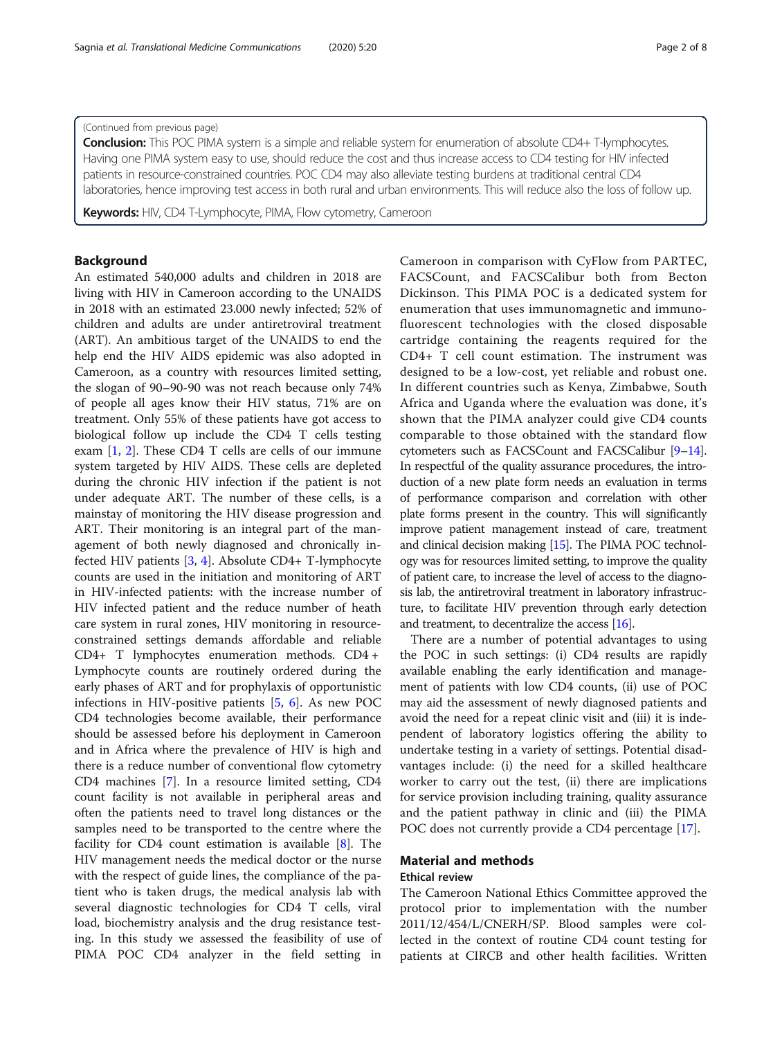#### (Continued from previous page)

Conclusion: This POC PIMA system is a simple and reliable system for enumeration of absolute CD4+ T-lymphocytes. Having one PIMA system easy to use, should reduce the cost and thus increase access to CD4 testing for HIV infected patients in resource-constrained countries. POC CD4 may also alleviate testing burdens at traditional central CD4 laboratories, hence improving test access in both rural and urban environments. This will reduce also the loss of follow up.

Keywords: HIV, CD4 T-Lymphocyte, PIMA, Flow cytometry, Cameroon

#### Background

An estimated 540,000 adults and children in 2018 are living with HIV in Cameroon according to the UNAIDS in 2018 with an estimated 23.000 newly infected; 52% of children and adults are under antiretroviral treatment (ART). An ambitious target of the UNAIDS to end the help end the HIV AIDS epidemic was also adopted in Cameroon, as a country with resources limited setting, the slogan of 90–90-90 was not reach because only 74% of people all ages know their HIV status, 71% are on treatment. Only 55% of these patients have got access to biological follow up include the CD4 T cells testing exam [\[1](#page-6-0), [2\]](#page-6-0). These CD4 T cells are cells of our immune system targeted by HIV AIDS. These cells are depleted during the chronic HIV infection if the patient is not under adequate ART. The number of these cells, is a mainstay of monitoring the HIV disease progression and ART. Their monitoring is an integral part of the management of both newly diagnosed and chronically infected HIV patients [\[3,](#page-6-0) [4](#page-6-0)]. Absolute CD4+ T-lymphocyte counts are used in the initiation and monitoring of ART in HIV-infected patients: with the increase number of HIV infected patient and the reduce number of heath care system in rural zones, HIV monitoring in resourceconstrained settings demands affordable and reliable CD4+ T lymphocytes enumeration methods. CD4 + Lymphocyte counts are routinely ordered during the early phases of ART and for prophylaxis of opportunistic infections in HIV-positive patients [\[5,](#page-6-0) [6](#page-6-0)]. As new POC CD4 technologies become available, their performance should be assessed before his deployment in Cameroon and in Africa where the prevalence of HIV is high and there is a reduce number of conventional flow cytometry CD4 machines [[7\]](#page-6-0). In a resource limited setting, CD4 count facility is not available in peripheral areas and often the patients need to travel long distances or the samples need to be transported to the centre where the facility for CD4 count estimation is available [\[8](#page-6-0)]. The HIV management needs the medical doctor or the nurse with the respect of guide lines, the compliance of the patient who is taken drugs, the medical analysis lab with several diagnostic technologies for CD4 T cells, viral load, biochemistry analysis and the drug resistance testing. In this study we assessed the feasibility of use of PIMA POC CD4 analyzer in the field setting in

Cameroon in comparison with CyFlow from PARTEC, FACSCount, and FACSCalibur both from Becton Dickinson. This PIMA POC is a dedicated system for enumeration that uses immunomagnetic and immunofluorescent technologies with the closed disposable cartridge containing the reagents required for the CD4+ T cell count estimation. The instrument was designed to be a low-cost, yet reliable and robust one. In different countries such as Kenya, Zimbabwe, South Africa and Uganda where the evaluation was done, it's shown that the PIMA analyzer could give CD4 counts comparable to those obtained with the standard flow cytometers such as FACSCount and FACSCalibur [[9](#page-6-0)–[14](#page-6-0)]. In respectful of the quality assurance procedures, the introduction of a new plate form needs an evaluation in terms of performance comparison and correlation with other plate forms present in the country. This will significantly improve patient management instead of care, treatment and clinical decision making [\[15\]](#page-6-0). The PIMA POC technology was for resources limited setting, to improve the quality of patient care, to increase the level of access to the diagnosis lab, the antiretroviral treatment in laboratory infrastructure, to facilitate HIV prevention through early detection and treatment, to decentralize the access [\[16\]](#page-6-0).

There are a number of potential advantages to using the POC in such settings: (i) CD4 results are rapidly available enabling the early identification and management of patients with low CD4 counts, (ii) use of POC may aid the assessment of newly diagnosed patients and avoid the need for a repeat clinic visit and (iii) it is independent of laboratory logistics offering the ability to undertake testing in a variety of settings. Potential disadvantages include: (i) the need for a skilled healthcare worker to carry out the test, (ii) there are implications for service provision including training, quality assurance and the patient pathway in clinic and (iii) the PIMA POC does not currently provide a CD4 percentage [\[17](#page-6-0)].

### Material and methods

#### Ethical review

The Cameroon National Ethics Committee approved the protocol prior to implementation with the number 2011/12/454/L/CNERH/SP. Blood samples were collected in the context of routine CD4 count testing for patients at CIRCB and other health facilities. Written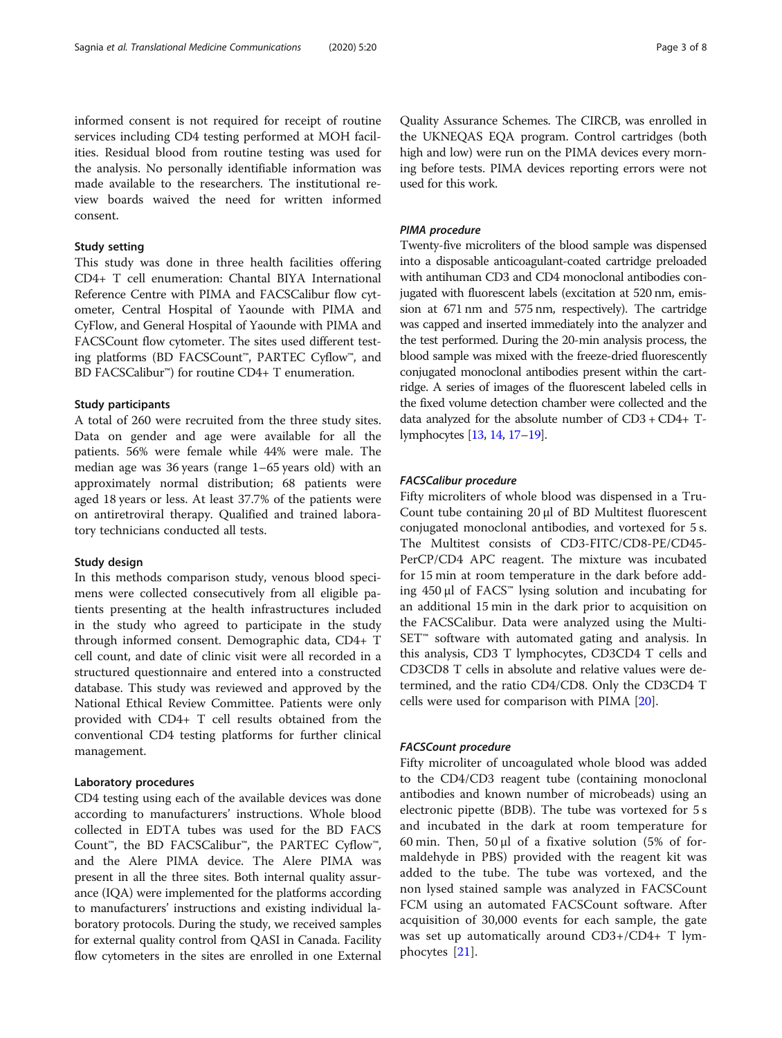informed consent is not required for receipt of routine services including CD4 testing performed at MOH facilities. Residual blood from routine testing was used for the analysis. No personally identifiable information was made available to the researchers. The institutional review boards waived the need for written informed consent.

#### Study setting

This study was done in three health facilities offering CD4+ T cell enumeration: Chantal BIYA International Reference Centre with PIMA and FACSCalibur flow cytometer, Central Hospital of Yaounde with PIMA and CyFlow, and General Hospital of Yaounde with PIMA and FACSCount flow cytometer. The sites used different testing platforms (BD FACSCount™, PARTEC Cyflow™, and BD FACSCalibur™) for routine CD4+ T enumeration.

#### Study participants

A total of 260 were recruited from the three study sites. Data on gender and age were available for all the patients. 56% were female while 44% were male. The median age was 36 years (range 1–65 years old) with an approximately normal distribution; 68 patients were aged 18 years or less. At least 37.7% of the patients were on antiretroviral therapy. Qualified and trained laboratory technicians conducted all tests.

#### Study design

In this methods comparison study, venous blood specimens were collected consecutively from all eligible patients presenting at the health infrastructures included in the study who agreed to participate in the study through informed consent. Demographic data, CD4+ T cell count, and date of clinic visit were all recorded in a structured questionnaire and entered into a constructed database. This study was reviewed and approved by the National Ethical Review Committee. Patients were only provided with CD4+ T cell results obtained from the conventional CD4 testing platforms for further clinical management.

#### Laboratory procedures

CD4 testing using each of the available devices was done according to manufacturers' instructions. Whole blood collected in EDTA tubes was used for the BD FACS Count™, the BD FACSCalibur™, the PARTEC Cyflow™, and the Alere PIMA device. The Alere PIMA was present in all the three sites. Both internal quality assurance (IQA) were implemented for the platforms according to manufacturers' instructions and existing individual laboratory protocols. During the study, we received samples for external quality control from QASI in Canada. Facility flow cytometers in the sites are enrolled in one External

Quality Assurance Schemes. The CIRCB, was enrolled in the UKNEQAS EQA program. Control cartridges (both high and low) were run on the PIMA devices every morning before tests. PIMA devices reporting errors were not used for this work.

#### PIMA procedure

Twenty-five microliters of the blood sample was dispensed into a disposable anticoagulant-coated cartridge preloaded with antihuman CD3 and CD4 monoclonal antibodies conjugated with fluorescent labels (excitation at 520 nm, emission at 671 nm and 575 nm, respectively). The cartridge was capped and inserted immediately into the analyzer and the test performed. During the 20-min analysis process, the blood sample was mixed with the freeze-dried fluorescently conjugated monoclonal antibodies present within the cartridge. A series of images of the fluorescent labeled cells in the fixed volume detection chamber were collected and the data analyzed for the absolute number of CD3 + CD4+ Tlymphocytes [\[13,](#page-6-0) [14,](#page-6-0) [17](#page-6-0)–[19\]](#page-6-0).

#### FACSCalibur procedure

Fifty microliters of whole blood was dispensed in a Tru-Count tube containing 20 μl of BD Multitest fluorescent conjugated monoclonal antibodies, and vortexed for 5 s. The Multitest consists of CD3-FITC/CD8-PE/CD45- PerCP/CD4 APC reagent. The mixture was incubated for 15 min at room temperature in the dark before adding  $450 \mu$ l of FACS<sup>™</sup> lysing solution and incubating for an additional 15 min in the dark prior to acquisition on the FACSCalibur. Data were analyzed using the Multi-SET™ software with automated gating and analysis. In this analysis, CD3 T lymphocytes, CD3CD4 T cells and CD3CD8 T cells in absolute and relative values were determined, and the ratio CD4/CD8. Only the CD3CD4 T cells were used for comparison with PIMA [\[20](#page-6-0)].

#### FACSCount procedure

Fifty microliter of uncoagulated whole blood was added to the CD4/CD3 reagent tube (containing monoclonal antibodies and known number of microbeads) using an electronic pipette (BDB). The tube was vortexed for 5 s and incubated in the dark at room temperature for 60 min. Then, 50  $\mu$ l of a fixative solution (5% of formaldehyde in PBS) provided with the reagent kit was added to the tube. The tube was vortexed, and the non lysed stained sample was analyzed in FACSCount FCM using an automated FACSCount software. After acquisition of 30,000 events for each sample, the gate was set up automatically around CD3+/CD4+ T lymphocytes [\[21](#page-6-0)].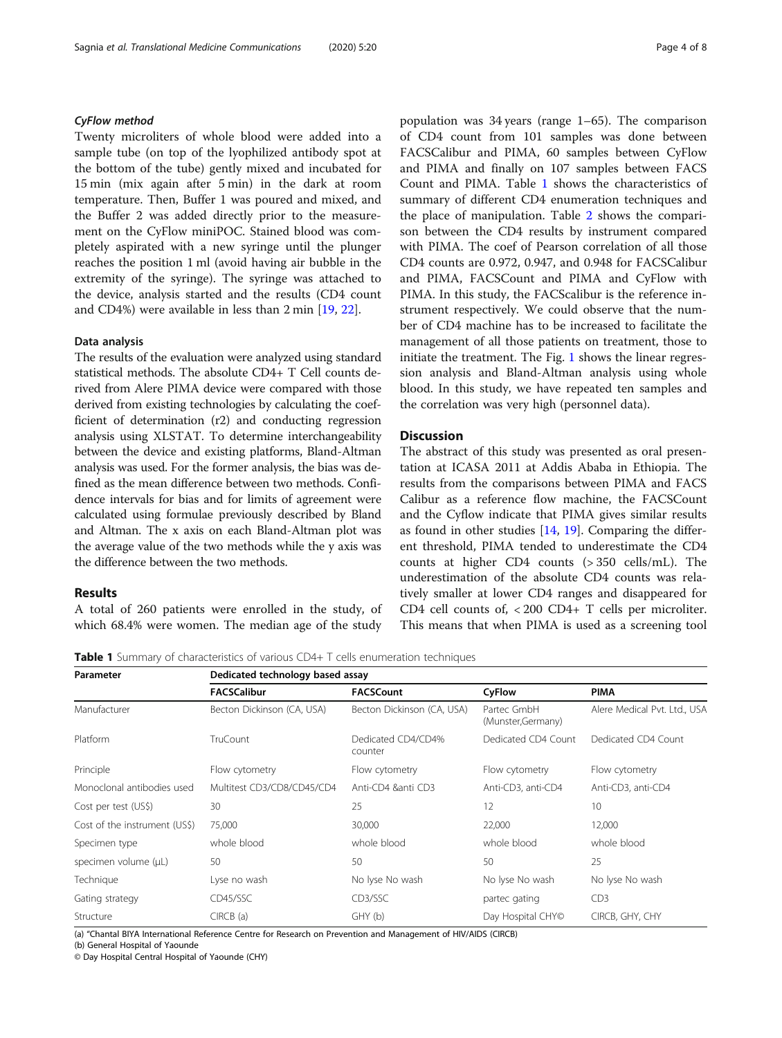#### CyFlow method

Twenty microliters of whole blood were added into a sample tube (on top of the lyophilized antibody spot at the bottom of the tube) gently mixed and incubated for 15 min (mix again after 5 min) in the dark at room temperature. Then, Buffer 1 was poured and mixed, and the Buffer 2 was added directly prior to the measurement on the CyFlow miniPOC. Stained blood was completely aspirated with a new syringe until the plunger reaches the position 1 ml (avoid having air bubble in the extremity of the syringe). The syringe was attached to the device, analysis started and the results (CD4 count and CD4%) were available in less than 2 min [\[19,](#page-6-0) [22\]](#page-7-0).

#### Data analysis

The results of the evaluation were analyzed using standard statistical methods. The absolute CD4+ T Cell counts derived from Alere PIMA device were compared with those derived from existing technologies by calculating the coefficient of determination (r2) and conducting regression analysis using XLSTAT. To determine interchangeability between the device and existing platforms, Bland-Altman analysis was used. For the former analysis, the bias was defined as the mean difference between two methods. Confidence intervals for bias and for limits of agreement were calculated using formulae previously described by Bland and Altman. The x axis on each Bland-Altman plot was the average value of the two methods while the y axis was the difference between the two methods.

#### Results

A total of 260 patients were enrolled in the study, of which 68.4% were women. The median age of the study population was 34 years (range 1–65). The comparison of CD4 count from 101 samples was done between FACSCalibur and PIMA, 60 samples between CyFlow and PIMA and finally on 107 samples between FACS Count and PIMA. Table 1 shows the characteristics of summary of different CD4 enumeration techniques and the place of manipulation. Table [2](#page-4-0) shows the comparison between the CD4 results by instrument compared with PIMA. The coef of Pearson correlation of all those CD4 counts are 0.972, 0.947, and 0.948 for FACSCalibur and PIMA, FACSCount and PIMA and CyFlow with PIMA. In this study, the FACScalibur is the reference instrument respectively. We could observe that the number of CD4 machine has to be increased to facilitate the management of all those patients on treatment, those to initiate the treatment. The Fig. [1](#page-5-0) shows the linear regression analysis and Bland-Altman analysis using whole blood. In this study, we have repeated ten samples and the correlation was very high (personnel data).

#### **Discussion**

The abstract of this study was presented as oral presentation at ICASA 2011 at Addis Ababa in Ethiopia. The results from the comparisons between PIMA and FACS Calibur as a reference flow machine, the FACSCount and the Cyflow indicate that PIMA gives similar results as found in other studies [\[14](#page-6-0), [19](#page-6-0)]. Comparing the different threshold, PIMA tended to underestimate the CD4 counts at higher CD4 counts (> 350 cells/mL). The underestimation of the absolute CD4 counts was relatively smaller at lower CD4 ranges and disappeared for CD4 cell counts of, < 200 CD4+ T cells per microliter. This means that when PIMA is used as a screening tool

Table 1 Summary of characteristics of various CD4+ T cells enumeration techniques

| Parameter                     | Dedicated technology based assay |                               |                                  |                              |  |  |  |
|-------------------------------|----------------------------------|-------------------------------|----------------------------------|------------------------------|--|--|--|
|                               | <b>FACSCalibur</b>               | <b>FACSCount</b>              | CyFlow                           | <b>PIMA</b>                  |  |  |  |
| Manufacturer                  | Becton Dickinson (CA, USA)       | Becton Dickinson (CA, USA)    | Partec GmbH<br>(Munster,Germany) | Alere Medical Pvt. Ltd., USA |  |  |  |
| Platform                      | <b>TruCount</b>                  | Dedicated CD4/CD4%<br>counter | Dedicated CD4 Count              | Dedicated CD4 Count          |  |  |  |
| Principle                     | Flow cytometry                   | Flow cytometry                | Flow cytometry                   | Flow cytometry               |  |  |  |
| Monoclonal antibodies used    | Multitest CD3/CD8/CD45/CD4       | Anti-CD4 &anti CD3            | Anti-CD3, anti-CD4               | Anti-CD3, anti-CD4           |  |  |  |
| Cost per test (US\$)          | 30                               | 25                            | 12                               | 10                           |  |  |  |
| Cost of the instrument (US\$) | 75,000                           | 30,000                        | 22,000                           | 12,000                       |  |  |  |
| Specimen type                 | whole blood                      | whole blood                   | whole blood                      | whole blood                  |  |  |  |
| specimen volume (µL)          | 50                               | 50                            | 50                               | 25                           |  |  |  |
| Technique                     | Lyse no wash                     | No lyse No wash               | No lyse No wash                  | No lyse No wash              |  |  |  |
| Gating strategy               | CD45/SSC                         | CD3/SSC                       | partec gating                    | CD <sub>3</sub>              |  |  |  |
| Structure                     | $CIRCB$ (a)                      | GHY(b)                        | Day Hospital CHYO                | CIRCB, GHY, CHY              |  |  |  |

(a) "Chantal BIYA International Reference Centre for Research on Prevention and Management of HIV/AIDS (CIRCB)

(b) General Hospital of Yaounde

© Day Hospital Central Hospital of Yaounde (CHY)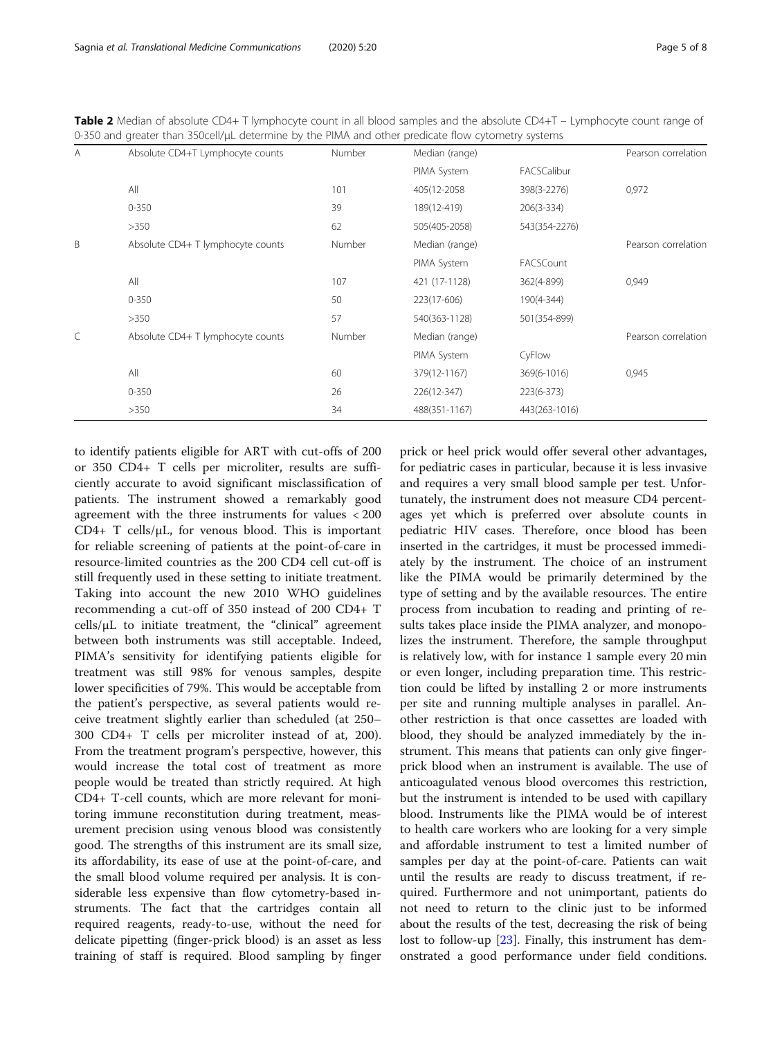<span id="page-4-0"></span>

|                                                                                                             |        |                | Table 2 Median of absolute CD4+ T lymphocyte count in all blood samples and the absolute CD4+T – Lymphocyte count range of |
|-------------------------------------------------------------------------------------------------------------|--------|----------------|----------------------------------------------------------------------------------------------------------------------------|
| $0$ -350 and greater than 350 $cell/\mu$ L determine by the PIMA and other predicate flow cytometry systems |        |                |                                                                                                                            |
| Absolute CD4+T Lymphocyte counts                                                                            | Number | Median (range) | Pearson correlation                                                                                                        |

| A | ADSOIUTE CD4+1 Lymphocyte counts  | <b>Number</b> | wedian (range) |               | Pearson correlation |
|---|-----------------------------------|---------------|----------------|---------------|---------------------|
|   |                                   |               | PIMA System    | FACSCalibur   |                     |
|   | All                               | 101           | 405(12-2058)   | 398(3-2276)   | 0,972               |
|   | $0 - 350$                         | 39            | 189(12-419)    | $206(3-334)$  |                     |
|   | >350                              | 62            | 505(405-2058)  | 543(354-2276) |                     |
| B | Absolute CD4+ T lymphocyte counts | Number        | Median (range) |               | Pearson correlation |
|   |                                   |               | PIMA System    | FACSCount     |                     |
|   | All                               | 107           | 421 (17-1128)  | 362(4-899)    | 0,949               |
|   | $0 - 350$                         | 50            | 223(17-606)    | 190(4-344)    |                     |
|   | >350                              | 57            | 540(363-1128)  | 501(354-899)  |                     |
| C | Absolute CD4+ T lymphocyte counts | Number        | Median (range) |               | Pearson correlation |
|   |                                   |               | PIMA System    | CyFlow        |                     |
|   | All                               | 60            | 379(12-1167)   | 369(6-1016)   | 0,945               |
|   | $0 - 350$                         | 26            | 226(12-347)    | 223(6-373)    |                     |
|   | >350                              | 34            | 488(351-1167)  | 443(263-1016) |                     |
|   |                                   |               |                |               |                     |

to identify patients eligible for ART with cut-offs of 200 or 350 CD4+ T cells per microliter, results are sufficiently accurate to avoid significant misclassification of patients. The instrument showed a remarkably good agreement with the three instruments for values < 200 CD4+ T cells/μL, for venous blood. This is important for reliable screening of patients at the point-of-care in resource-limited countries as the 200 CD4 cell cut-off is still frequently used in these setting to initiate treatment. Taking into account the new 2010 WHO guidelines recommending a cut-off of 350 instead of 200 CD4+ T  $cells/\mu L$  to initiate treatment, the "clinical" agreement between both instruments was still acceptable. Indeed, PIMA's sensitivity for identifying patients eligible for treatment was still 98% for venous samples, despite lower specificities of 79%. This would be acceptable from the patient's perspective, as several patients would receive treatment slightly earlier than scheduled (at 250– 300 CD4+ T cells per microliter instead of at, 200). From the treatment program's perspective, however, this would increase the total cost of treatment as more people would be treated than strictly required. At high CD4+ T-cell counts, which are more relevant for monitoring immune reconstitution during treatment, measurement precision using venous blood was consistently good. The strengths of this instrument are its small size, its affordability, its ease of use at the point-of-care, and the small blood volume required per analysis. It is considerable less expensive than flow cytometry-based instruments. The fact that the cartridges contain all required reagents, ready-to-use, without the need for delicate pipetting (finger-prick blood) is an asset as less training of staff is required. Blood sampling by finger

prick or heel prick would offer several other advantages, for pediatric cases in particular, because it is less invasive and requires a very small blood sample per test. Unfortunately, the instrument does not measure CD4 percentages yet which is preferred over absolute counts in pediatric HIV cases. Therefore, once blood has been inserted in the cartridges, it must be processed immediately by the instrument. The choice of an instrument like the PIMA would be primarily determined by the type of setting and by the available resources. The entire process from incubation to reading and printing of results takes place inside the PIMA analyzer, and monopolizes the instrument. Therefore, the sample throughput is relatively low, with for instance 1 sample every 20 min or even longer, including preparation time. This restriction could be lifted by installing 2 or more instruments per site and running multiple analyses in parallel. Another restriction is that once cassettes are loaded with blood, they should be analyzed immediately by the instrument. This means that patients can only give fingerprick blood when an instrument is available. The use of anticoagulated venous blood overcomes this restriction, but the instrument is intended to be used with capillary blood. Instruments like the PIMA would be of interest to health care workers who are looking for a very simple and affordable instrument to test a limited number of samples per day at the point-of-care. Patients can wait until the results are ready to discuss treatment, if required. Furthermore and not unimportant, patients do not need to return to the clinic just to be informed about the results of the test, decreasing the risk of being lost to follow-up [\[23\]](#page-7-0). Finally, this instrument has demonstrated a good performance under field conditions.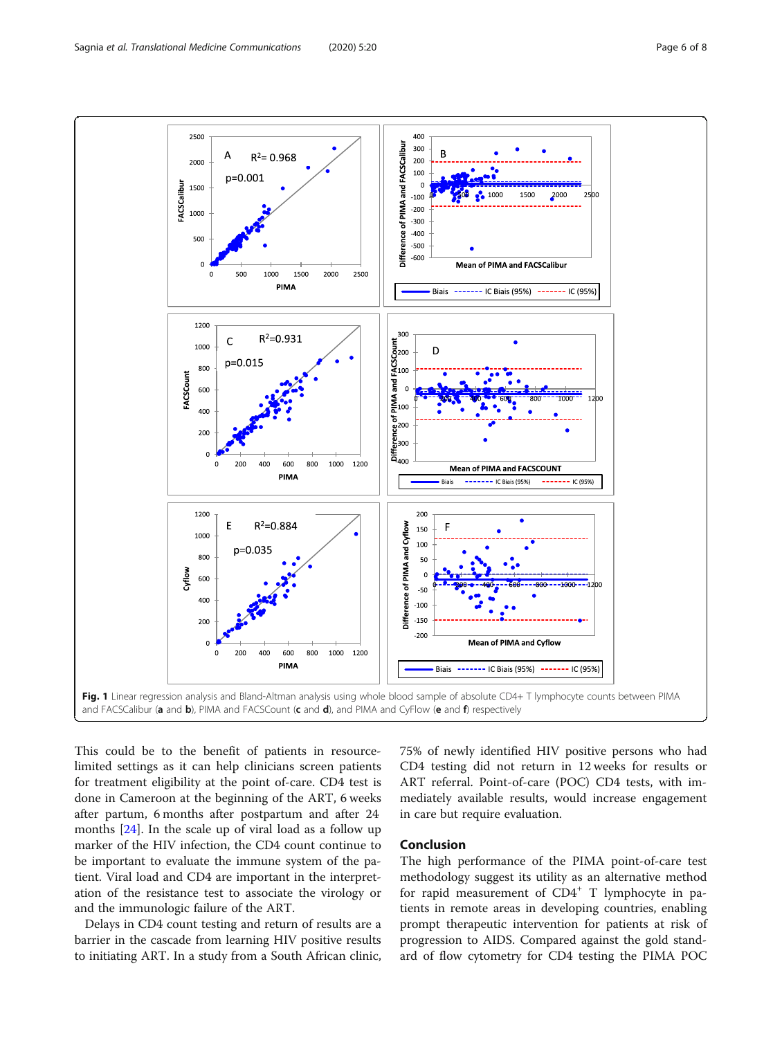<span id="page-5-0"></span>

This could be to the benefit of patients in resourcelimited settings as it can help clinicians screen patients for treatment eligibility at the point of-care. CD4 test is done in Cameroon at the beginning of the ART, 6 weeks after partum, 6 months after postpartum and after 24 months [\[24](#page-7-0)]. In the scale up of viral load as a follow up marker of the HIV infection, the CD4 count continue to be important to evaluate the immune system of the patient. Viral load and CD4 are important in the interpretation of the resistance test to associate the virology or and the immunologic failure of the ART.

Delays in CD4 count testing and return of results are a barrier in the cascade from learning HIV positive results to initiating ART. In a study from a South African clinic,

75% of newly identified HIV positive persons who had CD4 testing did not return in 12 weeks for results or ART referral. Point-of-care (POC) CD4 tests, with immediately available results, would increase engagement in care but require evaluation.

#### Conclusion

The high performance of the PIMA point-of-care test methodology suggest its utility as an alternative method for rapid measurement of  $CD4^+$  T lymphocyte in patients in remote areas in developing countries, enabling prompt therapeutic intervention for patients at risk of progression to AIDS. Compared against the gold standard of flow cytometry for CD4 testing the PIMA POC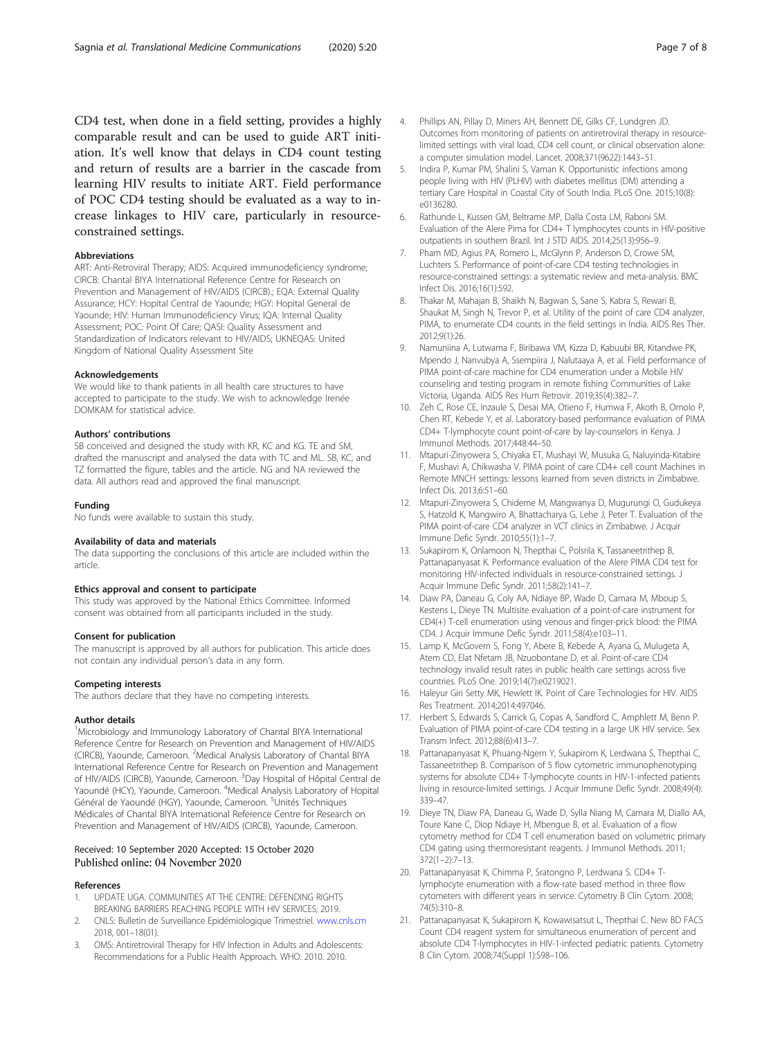<span id="page-6-0"></span>CD4 test, when done in a field setting, provides a highly comparable result and can be used to guide ART initiation. It's well know that delays in CD4 count testing and return of results are a barrier in the cascade from learning HIV results to initiate ART. Field performance of POC CD4 testing should be evaluated as a way to increase linkages to HIV care, particularly in resourceconstrained settings.

#### Abbreviations

ART: Anti-Retroviral Therapy; AIDS: Acquired immunodeficiency syndrome; CIRCB: Chantal BIYA International Reference Centre for Research on Prevention and Management of HIV/AIDS (CIRCB).; EQA: External Quality Assurance; HCY: Hopital Central de Yaounde; HGY: Hopital General de Yaounde; HIV: Human Immunodeficiency Virus; IQA: Internal Quality Assessment; POC: Point Of Care; QASI: Quality Assessment and Standardization of Indicators relevant to HIV/AIDS; UKNEQAS: United Kingdom of National Quality Assessment Site

#### Acknowledgements

We would like to thank patients in all health care structures to have accepted to participate to the study. We wish to acknowledge Irenée DOMKAM for statistical advice.

#### Authors' contributions

SB conceived and designed the study with KR, KC and KG. TE and SM, drafted the manuscript and analysed the data with TC and ML. SB, KC, and TZ formatted the figure, tables and the article. NG and NA reviewed the data. All authors read and approved the final manuscript.

#### Funding

No funds were available to sustain this study.

#### Availability of data and materials

The data supporting the conclusions of this article are included within the article.

#### Ethics approval and consent to participate

This study was approved by the National Ethics Committee. Informed consent was obtained from all participants included in the study.

#### Consent for publication

The manuscript is approved by all authors for publication. This article does not contain any individual person's data in any form.

#### Competing interests

The authors declare that they have no competing interests.

#### Author details

<sup>1</sup>Microbiology and Immunology Laboratory of Chantal BIYA International Reference Centre for Research on Prevention and Management of HIV/AIDS (CIRCB), Yaounde, Cameroon. <sup>2</sup>Medical Analysis Laboratory of Chantal BIYA International Reference Centre for Research on Prevention and Management of HIV/AIDS (CIRCB), Yaounde, Cameroon. <sup>3</sup>Day Hospital of Hôpital Central de Yaoundé (HCY), Yaounde, Cameroon. <sup>4</sup>Medical Analysis Laboratory of Hopital Général de Yaoundé (HGY), Yaounde, Cameroon. <sup>5</sup>Unités Techniques Médicales of Chantal BIYA International Reference Centre for Research on Prevention and Management of HIV/AIDS (CIRCB), Yaounde, Cameroon.

#### Received: 10 September 2020 Accepted: 15 October 2020 Published online: 04 November 2020

#### References

- 1. UPDATE UGA. COMMUNITIES AT THE CENTRE: DEFENDING RIGHTS BREAKING BARRIERS REACHING PEOPLE WITH HIV SERVICES; 2019.
- 2. CNLS: Bulletin de Surveillance Epidémiologique Trimestriel. [www.cnls.cm](http://www.cnls.cm) 2018, 001–18(01).
- 3. OMS: Antiretroviral Therapy for HIV Infection in Adults and Adolescents: Recommendations for a Public Health Approach. WHO. 2010. 2010.
- 4. Phillips AN, Pillay D, Miners AH, Bennett DE, Gilks CF, Lundgren JD. Outcomes from monitoring of patients on antiretroviral therapy in resourcelimited settings with viral load, CD4 cell count, or clinical observation alone: a computer simulation model. Lancet. 2008;371(9622):1443–51.
- Indira P, Kumar PM, Shalini S, Vaman K. Opportunistic infections among people living with HIV (PLHIV) with diabetes mellitus (DM) attending a tertiary Care Hospital in Coastal City of South India. PLoS One. 2015;10(8): e0136280.
- 6. Rathunde L, Kussen GM, Beltrame MP, Dalla Costa LM, Raboni SM. Evaluation of the Alere Pima for CD4+ T lymphocytes counts in HIV-positive outpatients in southern Brazil. Int J STD AIDS. 2014;25(13):956–9.
- 7. Pham MD, Agius PA, Romero L, McGlynn P, Anderson D, Crowe SM, Luchters S. Performance of point-of-care CD4 testing technologies in resource-constrained settings: a systematic review and meta-analysis. BMC Infect Dis. 2016;16(1):592.
- 8. Thakar M, Mahajan B, Shaikh N, Bagwan S, Sane S, Kabra S, Rewari B, Shaukat M, Singh N, Trevor P, et al. Utility of the point of care CD4 analyzer, PIMA, to enumerate CD4 counts in the field settings in India. AIDS Res Ther. 2012;9(1):26.
- 9. Namuniina A, Lutwama F, Biribawa VM, Kizza D, Kabuubi BR, Kitandwe PK, Mpendo J, Nanvubya A, Ssempiira J, Nalutaaya A, et al. Field performance of PIMA point-of-care machine for CD4 enumeration under a Mobile HIV counseling and testing program in remote fishing Communities of Lake Victoria, Uganda. AIDS Res Hum Retrovir. 2019;35(4):382–7.
- 10. Zeh C, Rose CE, Inzaule S, Desai MA, Otieno F, Humwa F, Akoth B, Omolo P, Chen RT, Kebede Y, et al. Laboratory-based performance evaluation of PIMA CD4+ T-lymphocyte count point-of-care by lay-counselors in Kenya. J Immunol Methods. 2017;448:44–50.
- 11. Mtapuri-Zinyowera S, Chiyaka ET, Mushayi W, Musuka G, Naluyinda-Kitabire F, Mushavi A, Chikwasha V. PIMA point of care CD4+ cell count Machines in Remote MNCH settings: lessons learned from seven districts in Zimbabwe. Infect Dis. 2013;6:51–60.
- 12. Mtapuri-Zinyowera S, Chideme M, Mangwanya D, Mugurungi O, Gudukeya S, Hatzold K, Mangwiro A, Bhattacharya G, Lehe J, Peter T. Evaluation of the PIMA point-of-care CD4 analyzer in VCT clinics in Zimbabwe. J Acquir Immune Defic Syndr. 2010;55(1):1–7.
- 13. Sukapirom K, Onlamoon N, Thepthai C, Polsrila K, Tassaneetrithep B, Pattanapanyasat K. Performance evaluation of the Alere PIMA CD4 test for monitoring HIV-infected individuals in resource-constrained settings. J Acquir Immune Defic Syndr. 2011;58(2):141–7.
- 14. Diaw PA, Daneau G, Coly AA, Ndiaye BP, Wade D, Camara M, Mboup S, Kestens L, Dieye TN. Multisite evaluation of a point-of-care instrument for CD4(+) T-cell enumeration using venous and finger-prick blood: the PIMA CD4. J Acquir Immune Defic Syndr. 2011;58(4):e103–11.
- 15. Lamp K, McGovern S, Fong Y, Abere B, Kebede A, Ayana G, Mulugeta A, Atem CD, Elat Nfetam JB, Nzuobontane D, et al. Point-of-care CD4 technology invalid result rates in public health care settings across five countries. PLoS One. 2019;14(7):e0219021.
- 16. Haleyur Giri Setty MK, Hewlett IK. Point of Care Technologies for HIV. AIDS Res Treatment. 2014;2014:497046.
- 17. Herbert S, Edwards S, Carrick G, Copas A, Sandford C, Amphlett M, Benn P. Evaluation of PIMA point-of-care CD4 testing in a large UK HIV service. Sex Transm Infect. 2012;88(6):413–7.
- 18. Pattanapanyasat K, Phuang-Ngern Y, Sukapirom K, Lerdwana S, Thepthai C, Tassaneetrithep B. Comparison of 5 flow cytometric immunophenotyping systems for absolute CD4+ T-lymphocyte counts in HIV-1-infected patients living in resource-limited settings. J Acquir Immune Defic Syndr. 2008;49(4): 339–47.
- 19. Dieye TN, Diaw PA, Daneau G, Wade D, Sylla Niang M, Camara M, Diallo AA, Toure Kane C, Diop Ndiaye H, Mbengue B, et al. Evaluation of a flow cytometry method for CD4 T cell enumeration based on volumetric primary CD4 gating using thermoresistant reagents. J Immunol Methods. 2011; 372(1–2):7–13.
- 20. Pattanapanyasat K, Chimma P, Sratongno P, Lerdwana S. CD4+ Tlymphocyte enumeration with a flow-rate based method in three flow cytometers with different years in service. Cytometry B Clin Cytom. 2008; 74(5):310–8.
- 21. Pattanapanyasat K, Sukapirom K, Kowawisatsut L, Thepthai C. New BD FACS Count CD4 reagent system for simultaneous enumeration of percent and absolute CD4 T-lymphocytes in HIV-1-infected pediatric patients. Cytometry B Clin Cytom. 2008;74(Suppl 1):S98–106.